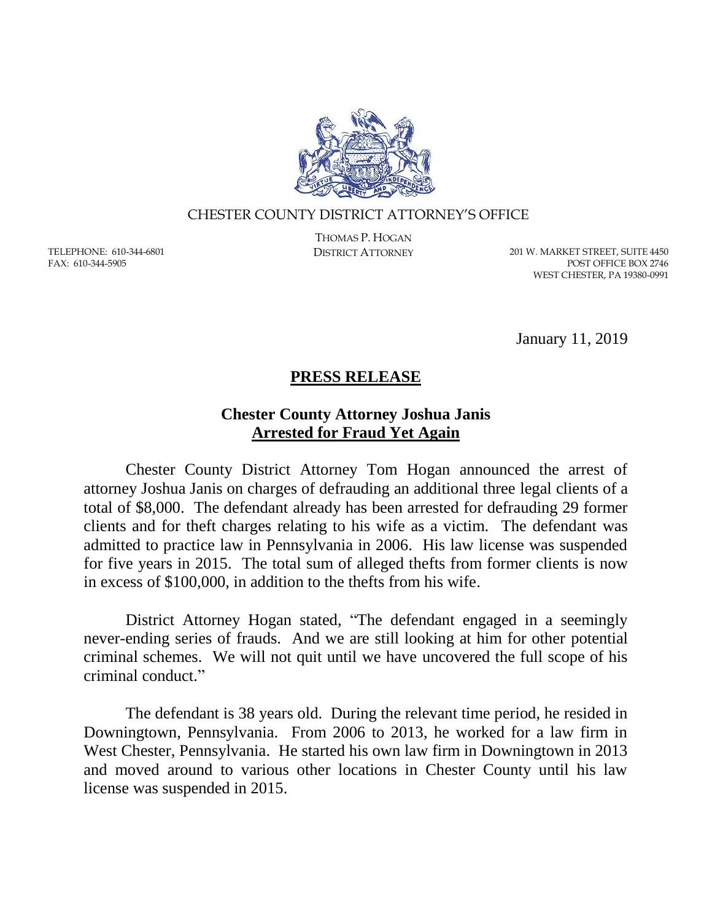

## CHESTER COUNTY DISTRICT ATTORNEY'S OFFICE

TELEPHONE: 610-344-6801 FAX: 610-344-5905

THOMAS P. HOGAN

DISTRICT ATTORNEY 201 W. MARKET STREET, SUITE 4450 POST OFFICE BOX 2746 WEST CHESTER, PA 19380-0991

January 11, 2019

## **PRESS RELEASE**

## **Chester County Attorney Joshua Janis Arrested for Fraud Yet Again**

Chester County District Attorney Tom Hogan announced the arrest of attorney Joshua Janis on charges of defrauding an additional three legal clients of a total of \$8,000. The defendant already has been arrested for defrauding 29 former clients and for theft charges relating to his wife as a victim. The defendant was admitted to practice law in Pennsylvania in 2006. His law license was suspended for five years in 2015. The total sum of alleged thefts from former clients is now in excess of \$100,000, in addition to the thefts from his wife.

District Attorney Hogan stated, "The defendant engaged in a seemingly never-ending series of frauds. And we are still looking at him for other potential criminal schemes. We will not quit until we have uncovered the full scope of his criminal conduct."

The defendant is 38 years old. During the relevant time period, he resided in Downingtown, Pennsylvania. From 2006 to 2013, he worked for a law firm in West Chester, Pennsylvania. He started his own law firm in Downingtown in 2013 and moved around to various other locations in Chester County until his law license was suspended in 2015.